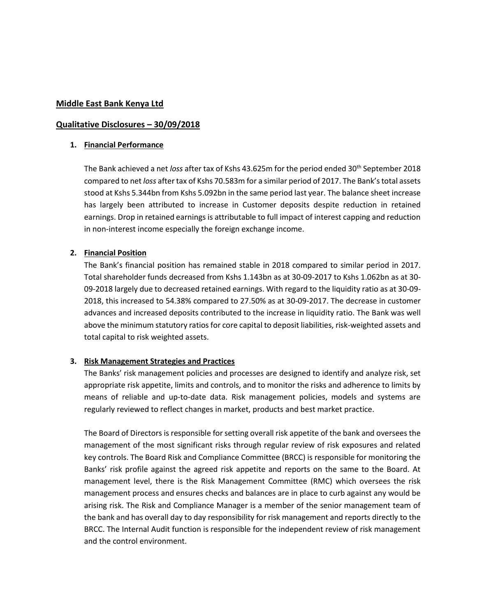#### **Middle East Bank Kenya Ltd**

#### **Qualitative Disclosures – 30/09/2018**

#### **1. Financial Performance**

The Bank achieved a net *loss* after tax of Kshs 43.625m for the period ended 30<sup>th</sup> September 2018 compared to net *loss* after tax of Kshs 70.583m for a similar period of 2017. The Bank's total assets stood at Kshs 5.344bn from Kshs 5.092bn in the same period last year. The balance sheet increase has largely been attributed to increase in Customer deposits despite reduction in retained earnings. Drop in retained earnings is attributable to full impact of interest capping and reduction in non-interest income especially the foreign exchange income.

#### **2. Financial Position**

The Bank's financial position has remained stable in 2018 compared to similar period in 2017. Total shareholder funds decreased from Kshs 1.143bn as at 30-09-2017 to Kshs 1.062bn as at 30- 09-2018 largely due to decreased retained earnings. With regard to the liquidity ratio as at 30-09- 2018, this increased to 54.38% compared to 27.50% as at 30-09-2017. The decrease in customer advances and increased deposits contributed to the increase in liquidity ratio. The Bank was well above the minimum statutory ratios for core capital to deposit liabilities, risk-weighted assets and total capital to risk weighted assets.

## **3. Risk Management Strategies and Practices**

The Banks' risk management policies and processes are designed to identify and analyze risk, set appropriate risk appetite, limits and controls, and to monitor the risks and adherence to limits by means of reliable and up-to-date data. Risk management policies, models and systems are regularly reviewed to reflect changes in market, products and best market practice.

The Board of Directors is responsible for setting overall risk appetite of the bank and oversees the management of the most significant risks through regular review of risk exposures and related key controls. The Board Risk and Compliance Committee (BRCC) is responsible for monitoring the Banks' risk profile against the agreed risk appetite and reports on the same to the Board. At management level, there is the Risk Management Committee (RMC) which oversees the risk management process and ensures checks and balances are in place to curb against any would be arising risk. The Risk and Compliance Manager is a member of the senior management team of the bank and has overall day to day responsibility for risk management and reports directly to the BRCC. The Internal Audit function is responsible for the independent review of risk management and the control environment.